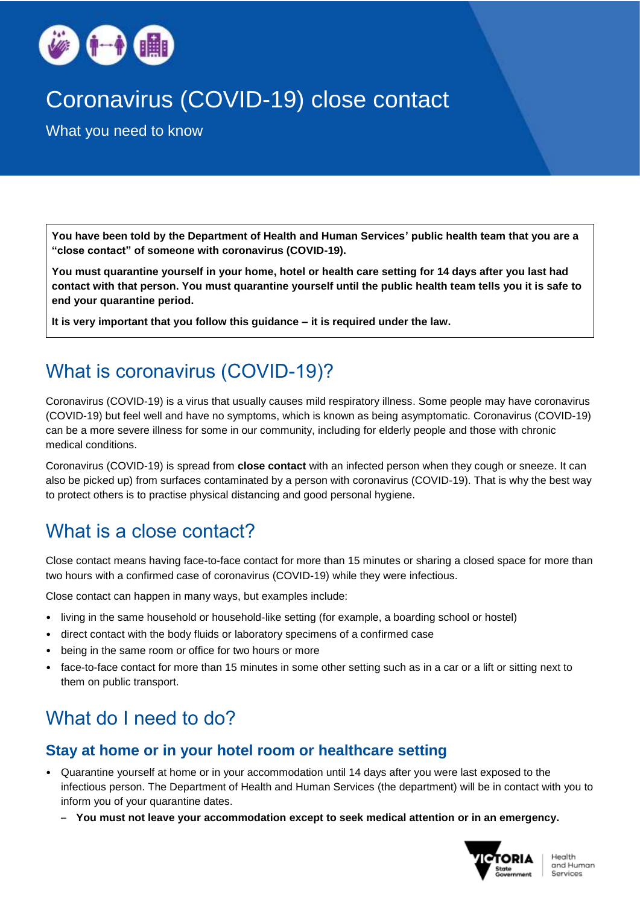

# Coronavirus (COVID-19) close contact

What you need to know

**You have been told by the Department of Health and Human Services' public health team that you are a "close contact" of someone with coronavirus (COVID-19).**

**You must quarantine yourself in your home, hotel or health care setting for 14 days after you last had contact with that person. You must quarantine yourself until the public health team tells you it is safe to end your quarantine period.**

**It is very important that you follow this guidance – it is required under the law.** 

## What is coronavirus (COVID-19)?

Coronavirus (COVID-19) is a virus that usually causes mild respiratory illness. Some people may have coronavirus (COVID-19) but feel well and have no symptoms, which is known as being asymptomatic. Coronavirus (COVID-19) can be a more severe illness for some in our community, including for elderly people and those with chronic medical conditions.

Coronavirus (COVID-19) is spread from **close contact** with an infected person when they cough or sneeze. It can also be picked up) from surfaces contaminated by a person with coronavirus (COVID-19). That is why the best way to protect others is to practise physical distancing and good personal hygiene.

### What is a close contact?

Close contact means having face-to-face contact for more than 15 minutes or sharing a closed space for more than two hours with a confirmed case of coronavirus (COVID-19) while they were infectious.

Close contact can happen in many ways, but examples include:

- living in the same household or household-like setting (for example, a boarding school or hostel)
- direct contact with the body fluids or laboratory specimens of a confirmed case
- being in the same room or office for two hours or more
- face-to-face contact for more than 15 minutes in some other setting such as in a car or a lift or sitting next to them on public transport.

## What do I need to do?

### **Stay at home or in your hotel room or healthcare setting**

- Quarantine yourself at home or in your accommodation until 14 days after you were last exposed to the infectious person. The Department of Health and Human Services (the department) will be in contact with you to inform you of your quarantine dates.
	- **You must not leave your accommodation except to seek medical attention or in an emergency.**

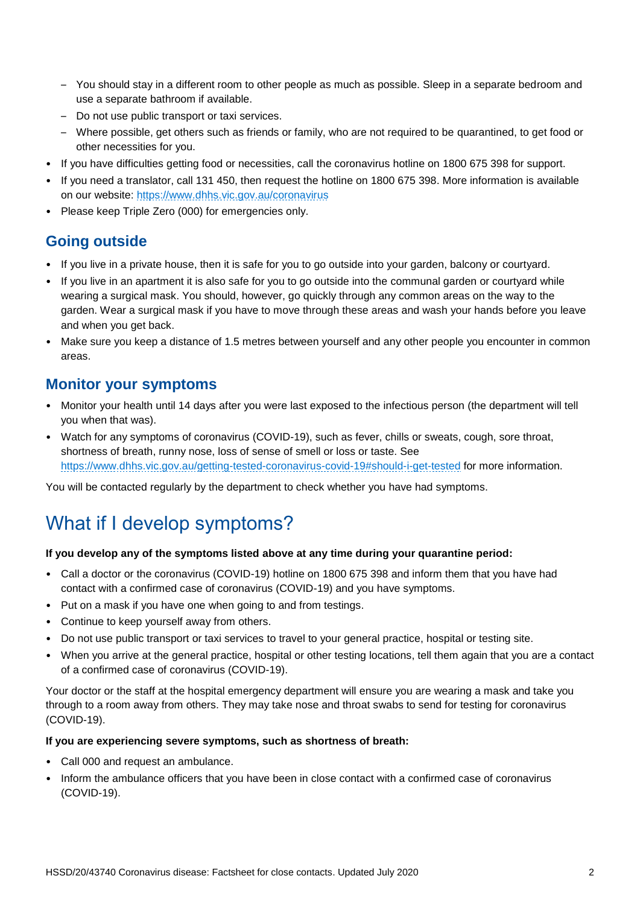- You should stay in a different room to other people as much as possible. Sleep in a separate bedroom and use a separate bathroom if available.
- Do not use public transport or taxi services.
- Where possible, get others such as friends or family, who are not required to be quarantined, to get food or other necessities for you.
- If you have difficulties getting food or necessities, call the coronavirus hotline on 1800 675 398 for support.
- If you need a translator, call 131 450, then request the hotline on 1800 675 398. More information is available on our website: [https://www.dhhs.vic.gov.au/coronavirus](about:blank)
- Please keep Triple Zero (000) for emergencies only.

### **Going outside**

- If you live in a private house, then it is safe for you to go outside into your garden, balcony or courtyard.
- If you live in an apartment it is also safe for you to go outside into the communal garden or courtyard while wearing a surgical mask. You should, however, go quickly through any common areas on the way to the garden. Wear a surgical mask if you have to move through these areas and wash your hands before you leave and when you get back.
- Make sure you keep a distance of 1.5 metres between yourself and any other people you encounter in common areas.

### **Monitor your symptoms**

- Monitor your health until 14 days after you were last exposed to the infectious person (the department will tell you when that was).
- Watch for any symptoms of coronavirus (COVID-19), such as fever, chills or sweats, cough, sore throat, shortness of breath, runny nose, loss of sense of smell or loss or taste. See [https://www.dhhs.vic.gov.au/getting-tested-coronavirus-covid-19#should-i-get-tested](about:blank#should-i-get-tested) for more information.

You will be contacted regularly by the department to check whether you have had symptoms.

## What if I develop symptoms?

#### **If you develop any of the symptoms listed above at any time during your quarantine period:**

- Call a doctor or the coronavirus (COVID-19) hotline on 1800 675 398 and inform them that you have had contact with a confirmed case of coronavirus (COVID-19) and you have symptoms.
- Put on a mask if you have one when going to and from testings.
- Continue to keep yourself away from others.
- Do not use public transport or taxi services to travel to your general practice, hospital or testing site.
- When you arrive at the general practice, hospital or other testing locations, tell them again that you are a contact of a confirmed case of coronavirus (COVID-19).

Your doctor or the staff at the hospital emergency department will ensure you are wearing a mask and take you through to a room away from others. They may take nose and throat swabs to send for testing for coronavirus (COVID-19).

#### **If you are experiencing severe symptoms, such as shortness of breath:**

- Call 000 and request an ambulance.
- Inform the ambulance officers that you have been in close contact with a confirmed case of coronavirus (COVID-19).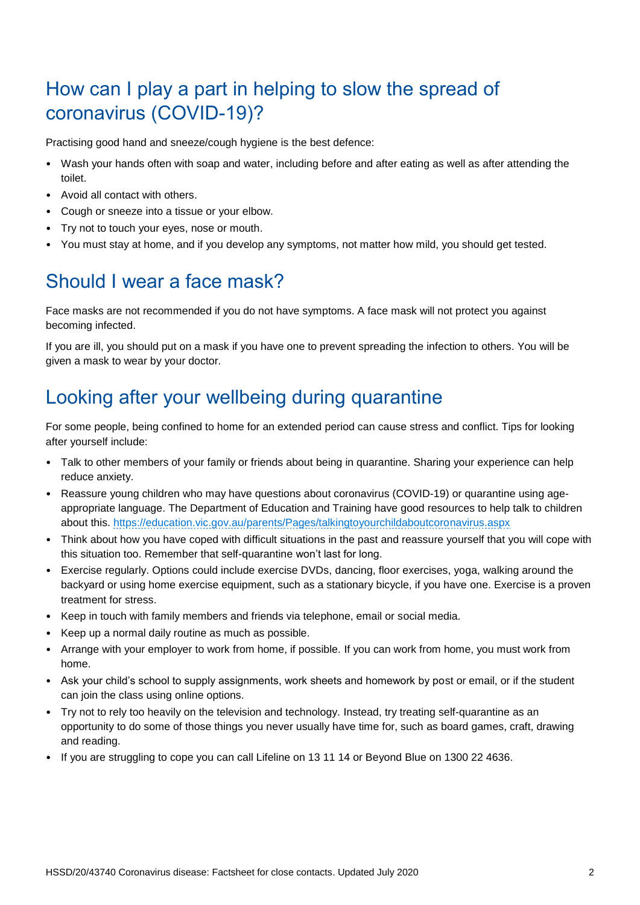## How can I play a part in helping to slow the spread of coronavirus (COVID-19)?

Practising good hand and sneeze/cough hygiene is the best defence:

- Wash your hands often with soap and water, including before and after eating as well as after attending the toilet.
- Avoid all contact with others.
- Cough or sneeze into a tissue or your elbow.
- Try not to touch your eyes, nose or mouth.
- You must stay at home, and if you develop any symptoms, not matter how mild, you should get tested.

### Should I wear a face mask?

Face masks are not recommended if you do not have symptoms. A face mask will not protect you against becoming infected.

If you are ill, you should put on a mask if you have one to prevent spreading the infection to others. You will be given a mask to wear by your doctor.

## Looking after your wellbeing during quarantine

For some people, being confined to home for an extended period can cause stress and conflict. Tips for looking after yourself include:

- Talk to other members of your family or friends about being in quarantine. Sharing your experience can help reduce anxiety.
- Reassure young children who may have questions about coronavirus (COVID-19) or quarantine using ageappropriate language. The Department of Education and Training have good resources to help talk to children about this. [https://education.vic.gov.au/parents/Pages/talkingtoyourchildaboutcoronavirus.aspx](about:blank)
- Think about how you have coped with difficult situations in the past and reassure yourself that you will cope with this situation too. Remember that self-quarantine won't last for long.
- Exercise regularly. Options could include exercise DVDs, dancing, floor exercises, yoga, walking around the backyard or using home exercise equipment, such as a stationary bicycle, if you have one. Exercise is a proven treatment for stress.
- Keep in touch with family members and friends via telephone, email or social media.
- Keep up a normal daily routine as much as possible.
- Arrange with your employer to work from home, if possible. If you can work from home, you must work from home.
- Ask your child's school to supply assignments, work sheets and homework by post or email, or if the student can join the class using online options.
- Try not to rely too heavily on the television and technology. Instead, try treating self-quarantine as an opportunity to do some of those things you never usually have time for, such as board games, craft, drawing and reading.
- If you are struggling to cope you can call Lifeline on 13 11 14 or Beyond Blue on 1300 22 4636.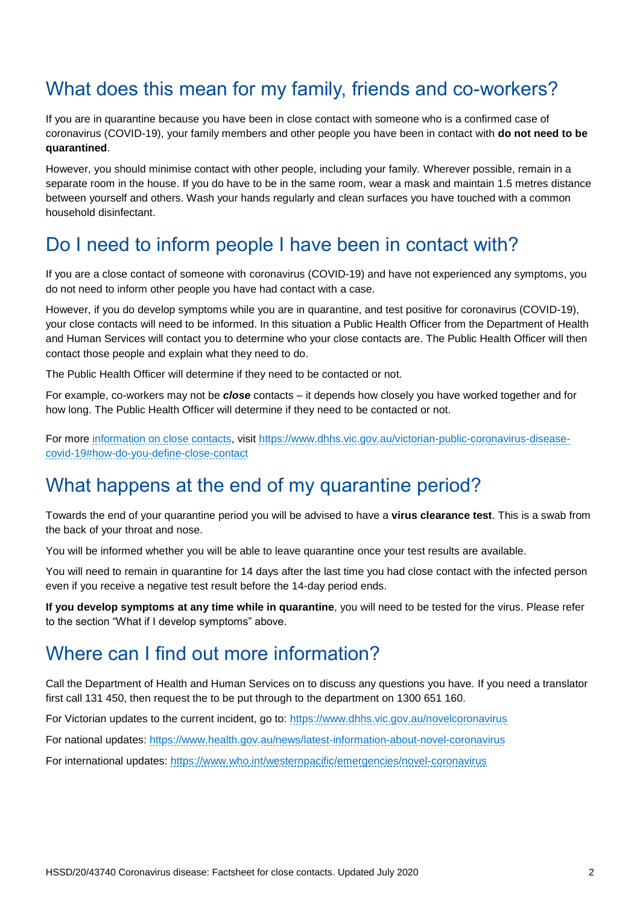### What does this mean for my family, friends and co-workers?

If you are in quarantine because you have been in close contact with someone who is a confirmed case of coronavirus (COVID-19), your family members and other people you have been in contact with **do not need to be quarantined**.

However, you should minimise contact with other people, including your family. Wherever possible, remain in a separate room in the house. If you do have to be in the same room, wear a mask and maintain 1.5 metres distance between yourself and others. Wash your hands regularly and clean surfaces you have touched with a common household disinfectant.

### Do I need to inform people I have been in contact with?

If you are a close contact of someone with coronavirus (COVID-19) and have not experienced any symptoms, you do not need to inform other people you have had contact with a case.

However, if you do develop symptoms while you are in quarantine, and test positive for coronavirus (COVID-19), your close contacts will need to be informed. In this situation a Public Health Officer from the Department of Health and Human Services will contact you to determine who your close contacts are. The Public Health Officer will then contact those people and explain what they need to do.

The Public Health Officer will determine if they need to be contacted or not.

For example, co-workers may not be *close* contacts – it depends how closely you have worked together and for how long. The Public Health Officer will determine if they need to be contacted or not.

For more [information on close contacts,](about:blank#how-do-you-define-close-contact) visit [https://www.dhhs.vic.gov.au/victorian-public-coronavirus-disease](about:blank#how-do-you-define-close-contact)[covid-19#how-do-you-define-close-contact](about:blank#how-do-you-define-close-contact)

### What happens at the end of my quarantine period?

Towards the end of your quarantine period you will be advised to have a **virus clearance test**. This is a swab from the back of your throat and nose.

You will be informed whether you will be able to leave quarantine once your test results are available.

You will need to remain in quarantine for 14 days after the last time you had close contact with the infected person even if you receive a negative test result before the 14-day period ends.

**If you develop symptoms at any time while in quarantine**, you will need to be tested for the virus. Please refer to the section "What if I develop symptoms" above.

### Where can I find out more information?

Call the Department of Health and Human Services on to discuss any questions you have. If you need a translator first call 131 450, then request the to be put through to the department on 1300 651 160.

For Victorian updates to the current incident, go to: [https://www.dhhs.vic.gov.au/novelcoronavirus](about:blank)

For national updates: [https://www.health.gov.au/news/latest-information-about-novel-coronavirus](about:blank)

For international updates: [https://www.who.int/westernpacific/emergencies/novel-coronavirus](about:blank)